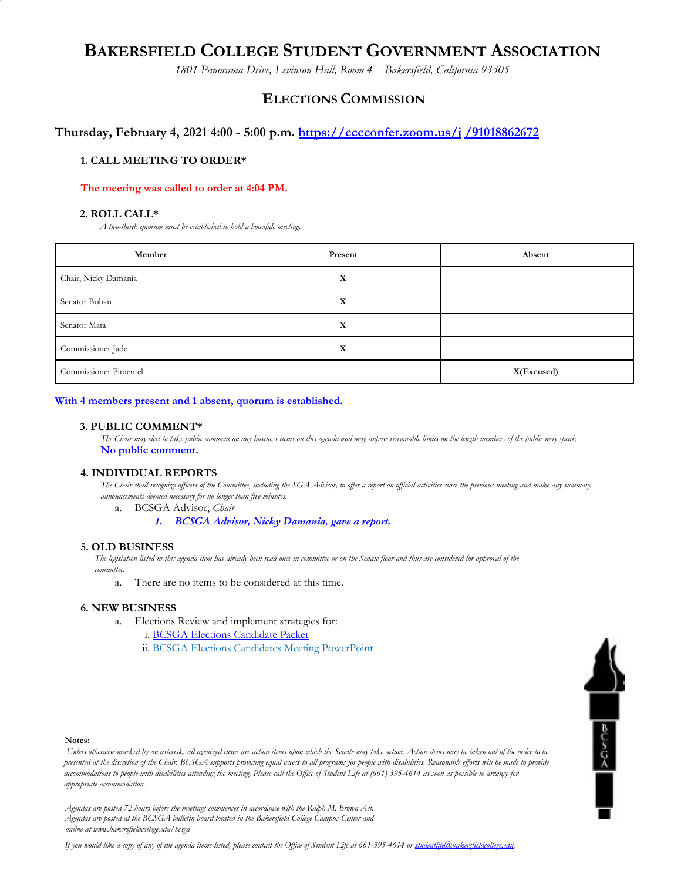# **BAKERSFIELD COLLEGE STUDENT GOVERNMENT ASSOCIATION**

*1801 Panorama Drive, Levinson Hall, Room 4 | Bakersfield, California 93305*

# **ELECTIONS COMMISSION**

## **Thursday, February 4, 2021 4:00 - 5:00 p.m. https://cccconfer.zoom.us/j /91018862672**

## **1. CALL MEETING TO ORDER\***

#### **The meeting was called to order at 4:04 PM.**

#### **2. ROLL CALL\***

*A two-thirds quorum must be established to hold a bonafide meeting.*

| Member                | Present | Absent     |
|-----------------------|---------|------------|
| Chair, Nicky Damania  | X       |            |
| Senator Bohan         | X       |            |
| Senator Mata          | X       |            |
| Commissioner Jade     | X       |            |
| Commissioner Pimentel |         | X(Excused) |

#### **With 4 members present and 1 absent, quorum is established.**

#### **3. PUBLIC COMMENT\***

The Chair may elect to take public comment on any business items on this agenda and may impose reasonable limits on the length members of the public may speak. **No public comment.**

#### **4. INDIVIDUAL REPORTS**

The Chair shall recognize officers of the Committee, including the SGA Advisor, to offer a report on official activities since the previous meeting and make any summary *announcements deemed necessary for no longer than five minutes.*

#### a. BCSGA Advisor, *Chair*

*1. BCSGA Advisor, Nicky Damania, gave a report.*

#### **5. OLD BUSINESS**

The legislation listed in this agenda item has already been read once in committee or on the Senate floor and thus are considered for approval of the *committee.*

a. There are no items to be considered at this time.

#### **6. NEW BUSINESS**

- a. Elections Review and implement strategies for:
	- i. BCSGA Elections Candidate Packet
	- ii. BCSGA Elections Candidates Meeting PowerPoint



#### **Notes:**

Unless otherwise marked by an asterisk, all agenized items are action items upon which the Senate may take action. Action items may be taken out of the order to be presented at the discretion of the Chair. BCSGA supports providing equal access to all programs for people with disabilities. Reasonable efforts will be made to provide accommodations to people with disabilities attending the meeting. Please call the Office of Student Life at (661) 395-4614 as soon as possible to arrange for *appropriate accommodation.*

*Agendas are posted 72 hours before the meetings commences in accordance with the Ralph M. Brown Act. Agendas are posted at the BCSGA bulletin board located in the Bakersfield College Campus Center and online at www.bakersfieldcollege.edu/bcsga*

If you would like a copy of any of the agenda items listed, please contact the Office of Student Life at 661-395-4614 or studentlife@hakersfieldcollege.edu.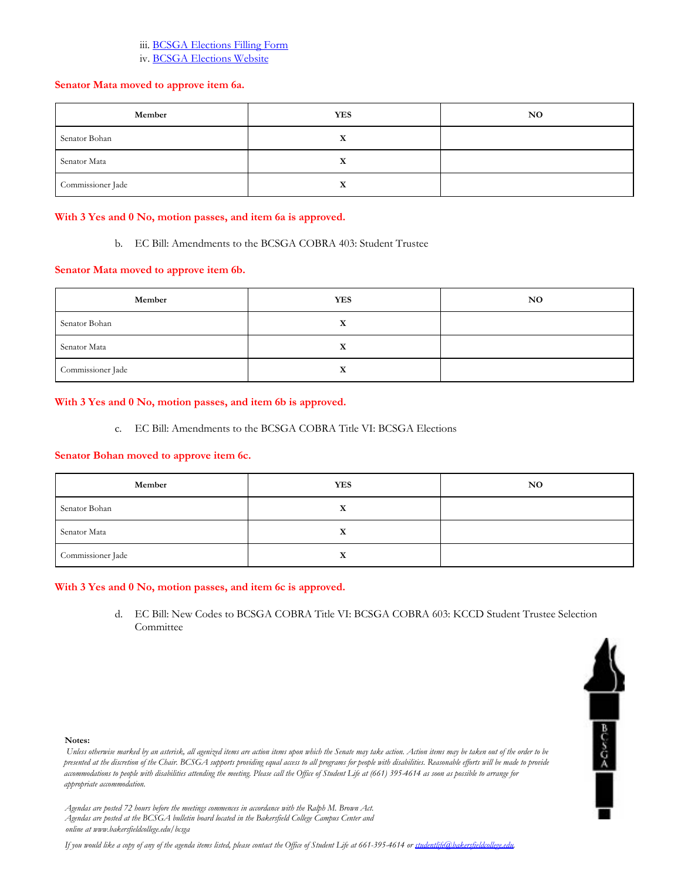#### iii. BCSGA Elections Filling Form

iv. BCSGA Elections Website

## **Senator Mata moved to approve item 6a.**

| Member            | <b>YES</b> | <b>NO</b> |
|-------------------|------------|-----------|
| Senator Bohan     |            |           |
| Senator Mata      | л          |           |
| Commissioner Jade | △          |           |

## **With 3 Yes and 0 No, motion passes, and item 6a is approved.**

b. EC Bill: Amendments to the BCSGA COBRA 403: Student Trustee

## **Senator Mata moved to approve item 6b.**

| Member            | <b>YES</b>       | <b>NO</b> |
|-------------------|------------------|-----------|
| Senator Bohan     | $\mathbf v$<br>л |           |
| Senator Mata      | v                |           |
| Commissioner Jade | л                |           |

## **With 3 Yes and 0 No, motion passes, and item 6b is approved.**

c. EC Bill: Amendments to the BCSGA COBRA Title VI: BCSGA Elections

#### **Senator Bohan moved to approve item 6c.**

| Member            | <b>YES</b> | NO. |
|-------------------|------------|-----|
| Senator Bohan     | X          |     |
| Senator Mata      |            |     |
| Commissioner Jade | x          |     |

#### **With 3 Yes and 0 No, motion passes, and item 6c is approved.**

d. EC Bill: New Codes to BCSGA COBRA Title VI: BCSGA COBRA 603: KCCD Student Trustee Selection Committee

 $\begin{array}{c|c}\n\hline\n\end{array}$ 



Unless otherwise marked by an asterisk, all agenized items are action items upon which the Senate may take action. Action items may be taken out of the order to be presented at the discretion of the Chair. BCSGA supports providing equal access to all programs for people with disabilities. Reasonable efforts will be made to provide accommodations to people with disabilities attending the meeting. Please call the Office of Student Life at (661) 395-4614 as soon as possible to arrange for *appropriate accommodation.*

*Agendas are posted 72 hours before the meetings commences in accordance with the Ralph M. Brown Act. Agendas are posted at the BCSGA bulletin board located in the Bakersfield College Campus Center and online at www.bakersfieldcollege.edu/bcsga*

If you would like a copy of any of the agenda items listed, please contact the Office of Student Life at 661-395-4614 or studentlife@hakersfieldcollege.edu.